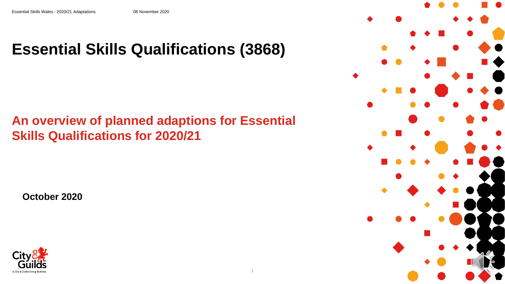## **Essential Skills Qualifications (3868)**

### **An overview of planned adaptions for Essential Skills Qualifications for 2020/21**

**October 2020**



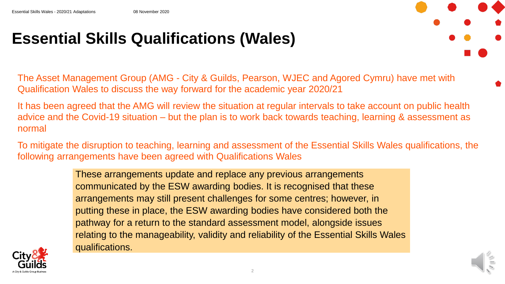## **Essential Skills Qualifications (Wales)**

The Asset Management Group (AMG - City & Guilds, Pearson, WJEC and Agored Cymru) have met with Qualification Wales to discuss the way forward for the academic year 2020/21

It has been agreed that the AMG will review the situation at regular intervals to take account on public health advice and the Covid-19 situation – but the plan is to work back towards teaching, learning & assessment as normal

To mitigate the disruption to teaching, learning and assessment of the Essential Skills Wales qualifications, the following arrangements have been agreed with Qualifications Wales

> These arrangements update and replace any previous arrangements communicated by the ESW awarding bodies. It is recognised that these arrangements may still present challenges for some centres; however, in putting these in place, the ESW awarding bodies have considered both the pathway for a return to the standard assessment model, alongside issues relating to the manageability, validity and reliability of the Essential Skills Wales qualifications.



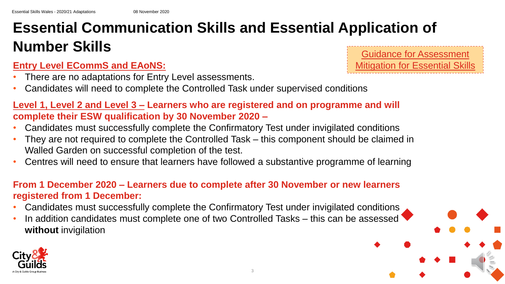# **Essential Communication Skills and Essential Application of Number Skills** Guidance for Assessment

### **Entry Level ECommS and EAoNS:**

- There are no adaptations for Entry Level assessments.
- Candidates will need to complete the Controlled Task under supervised conditions

### **Level 1, Level 2 and Level 3 – Learners who are registered and on programme and will complete their ESW qualification by 30 November 2020 –**

- Candidates must successfully complete the Confirmatory Test under invigilated conditions
- They are not required to complete the Controlled Task this component should be claimed in Walled Garden on successful completion of the test.
- Centres will need to ensure that learners have followed a substantive programme of learning

#### **From 1 December 2020 – Learners due to complete after 30 November or new learners registered from 1 December:**

- Candidates must successfully complete the Confirmatory Test under invigilated conditions
- In addition candidates must complete one of two Controlled Tasks this can be assessed **without** invigilation



tigation for Essential Skills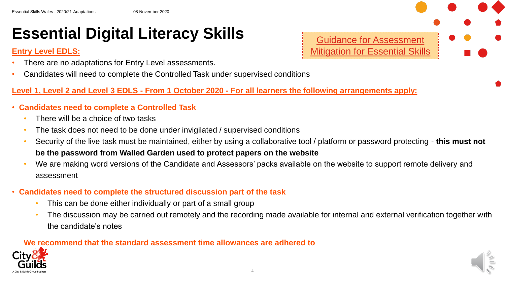### **Essential Digital Literacy Skills**

#### **Entry Level EDLS:**

- There are no adaptations for Entry Level assessments.
- Candidates will need to complete the Controlled Task under supervised conditions

#### **Level 1, Level 2 and Level 3 EDLS - From 1 October 2020 - For all learners the following arrangements apply:**

- **Candidates need to complete a Controlled Task**
	- There will be a choice of two tasks
	- The task does not need to be done under invigilated / supervised conditions
	- Security of the live task must be maintained, either by using a collaborative tool / platform or password protecting **this must not be the password from Walled Garden used to protect papers on the website**
	- We are making word versions of the Candidate and Assessors' packs available on the website to support remote delivery and assessment
- **Candidates need to complete the structured discussion part of the task** 
	- This can be done either individually or part of a small group
	- The discussion may be carried out remotely and the recording made available for internal and external verification together with the candidate's notes

4

#### **We recommend that the standard assessment time allowances are adhered to**



Guidance for Assessment [Mitigation for Essential Skills](https://www.cityandguilds.com/-/media/cityandguilds-site/documents/covid-19/esw-mitigation-guide-2020-21-pdf.ashx?la=en&hash=46BFFF1981F7A627A0C69BB863DB4AAA937DB143)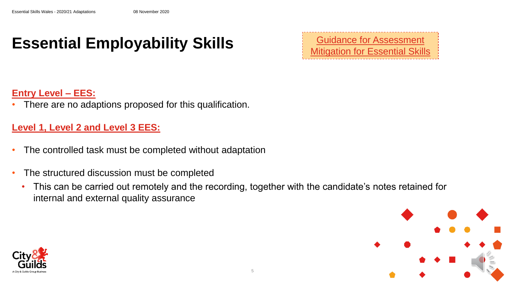### **Essential Employability Skills**

Guidance for Assessment [Mitigation for Essential Skills](https://www.cityandguilds.com/-/media/cityandguilds-site/documents/covid-19/esw-mitigation-guide-2020-21-pdf.ashx?la=en&hash=46BFFF1981F7A627A0C69BB863DB4AAA937DB143)

#### **Entry Level – EES:**

There are no adaptions proposed for this qualification.

#### **Level 1, Level 2 and Level 3 EES:**

- The controlled task must be completed without adaptation
- The structured discussion must be completed
	- This can be carried out remotely and the recording, together with the candidate's notes retained for internal and external quality assurance



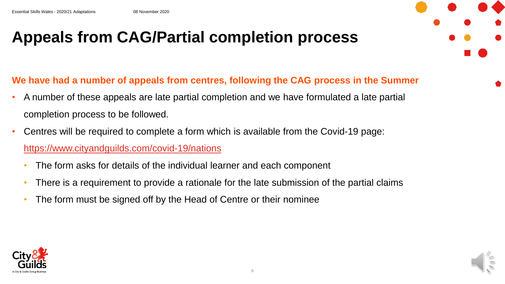### **Appeals from CAG/Partial completion process**



- A number of these appeals are late partial completion and we have formulated a late partial completion process to be followed.
- Centres will be required to complete a form which is available from the Covid-19 page: <https://www.cityandguilds.com/covid-19/nations>
	- The form asks for details of the individual learner and each component
	- There is a requirement to provide a rationale for the late submission of the partial claims
	- The form must be signed off by the Head of Centre or their nominee



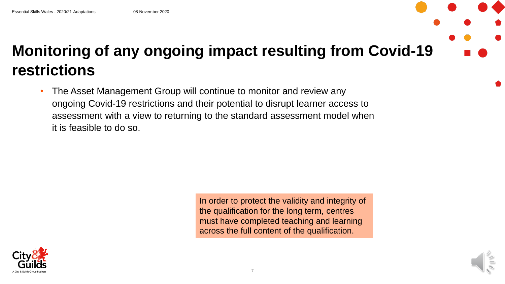# **Monitoring of any ongoing impact resulting from Covid-19 restrictions**

• The Asset Management Group will continue to monitor and review any ongoing Covid-19 restrictions and their potential to disrupt learner access to assessment with a view to returning to the standard assessment model when it is feasible to do so.

> In order to protect the validity and integrity of the qualification for the long term, centres must have completed teaching and learning across the full content of the qualification.



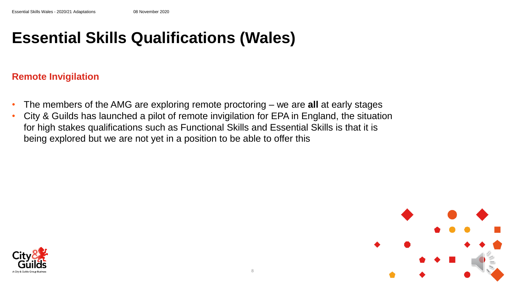### **Essential Skills Qualifications (Wales)**

#### **Remote Invigilation**

- The members of the AMG are exploring remote proctoring we are **all** at early stages
- City & Guilds has launched a pilot of remote invigilation for EPA in England, the situation for high stakes qualifications such as Functional Skills and Essential Skills is that it is being explored but we are not yet in a position to be able to offer this



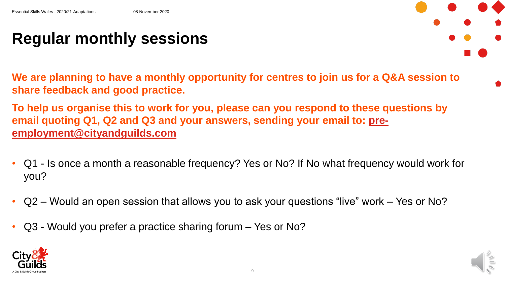### **Regular monthly sessions**

**We are planning to have a monthly opportunity for centres to join us for a Q&A session to share feedback and good practice.**

**To help us organise this to work for you, please can you respond to these questions by [email quoting Q1, Q2 and Q3 and your answers, sending your email to: pre](mailto:pre-employment@cityandguilds.com)employment@cityandguilds.com**

- Q1 Is once a month a reasonable frequency? Yes or No? If No what frequency would work for you?
- Q2 Would an open session that allows you to ask your questions "live" work Yes or No?
- Q3 Would you prefer a practice sharing forum Yes or No?